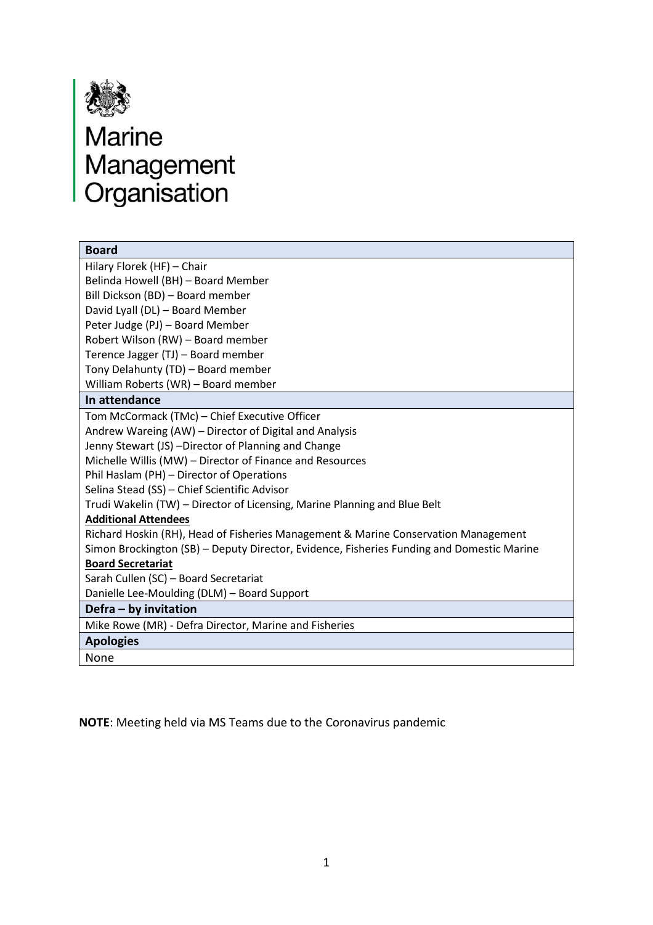

# **ASSED**<br>Marine<br>Management<br>Organisation

| <b>Board</b>                                                                              |
|-------------------------------------------------------------------------------------------|
| Hilary Florek (HF) - Chair                                                                |
| Belinda Howell (BH) - Board Member                                                        |
| Bill Dickson (BD) - Board member                                                          |
| David Lyall (DL) - Board Member                                                           |
| Peter Judge (PJ) - Board Member                                                           |
| Robert Wilson (RW) - Board member                                                         |
| Terence Jagger (TJ) - Board member                                                        |
| Tony Delahunty (TD) - Board member                                                        |
| William Roberts (WR) - Board member                                                       |
| In attendance                                                                             |
| Tom McCormack (TMc) - Chief Executive Officer                                             |
| Andrew Wareing (AW) – Director of Digital and Analysis                                    |
| Jenny Stewart (JS) -Director of Planning and Change                                       |
| Michelle Willis (MW) - Director of Finance and Resources                                  |
| Phil Haslam (PH) - Director of Operations                                                 |
| Selina Stead (SS) - Chief Scientific Advisor                                              |
| Trudi Wakelin (TW) – Director of Licensing, Marine Planning and Blue Belt                 |
| <b>Additional Attendees</b>                                                               |
| Richard Hoskin (RH), Head of Fisheries Management & Marine Conservation Management        |
| Simon Brockington (SB) - Deputy Director, Evidence, Fisheries Funding and Domestic Marine |
| <b>Board Secretariat</b>                                                                  |
| Sarah Cullen (SC) - Board Secretariat                                                     |
| Danielle Lee-Moulding (DLM) - Board Support                                               |
| Defra - by invitation                                                                     |
| Mike Rowe (MR) - Defra Director, Marine and Fisheries                                     |
| <b>Apologies</b>                                                                          |
| None                                                                                      |
|                                                                                           |

**NOTE**: Meeting held via MS Teams due to the Coronavirus pandemic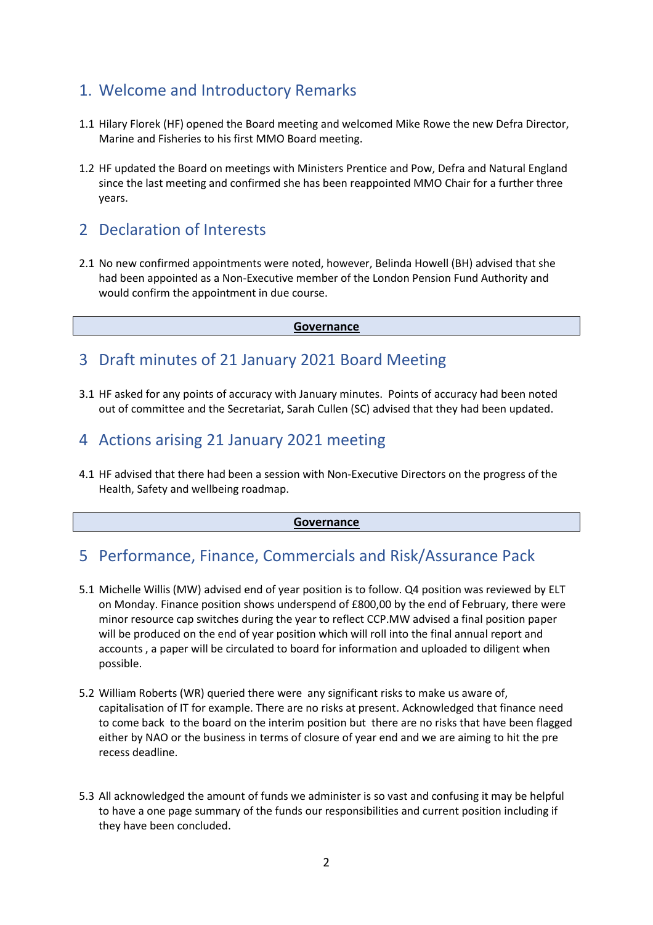# 1. Welcome and Introductory Remarks

- 1.1 Hilary Florek (HF) opened the Board meeting and welcomed Mike Rowe the new Defra Director, Marine and Fisheries to his first MMO Board meeting.
- 1.2 HF updated the Board on meetings with Ministers Prentice and Pow, Defra and Natural England since the last meeting and confirmed she has been reappointed MMO Chair for a further three years.

# 2 Declaration of Interests

2.1 No new confirmed appointments were noted, however, Belinda Howell (BH) advised that she had been appointed as a Non-Executive member of the London Pension Fund Authority and would confirm the appointment in due course.

**Governance**

# 3 Draft minutes of 21 January 2021 Board Meeting

3.1 HF asked for any points of accuracy with January minutes. Points of accuracy had been noted out of committee and the Secretariat, Sarah Cullen (SC) advised that they had been updated.

# 4 Actions arising 21 January 2021 meeting

4.1 HF advised that there had been a session with Non-Executive Directors on the progress of the Health, Safety and wellbeing roadmap.

### **Governance**

# 5 Performance, Finance, Commercials and Risk/Assurance Pack

- 5.1 Michelle Willis (MW) advised end of year position is to follow. Q4 position was reviewed by ELT on Monday. Finance position shows underspend of £800,00 by the end of February, there were minor resource cap switches during the year to reflect CCP.MW advised a final position paper will be produced on the end of year position which will roll into the final annual report and accounts , a paper will be circulated to board for information and uploaded to diligent when possible.
- 5.2 William Roberts (WR) queried there were any significant risks to make us aware of, capitalisation of IT for example. There are no risks at present. Acknowledged that finance need to come back to the board on the interim position but there are no risks that have been flagged either by NAO or the business in terms of closure of year end and we are aiming to hit the pre recess deadline.
- 5.3 All acknowledged the amount of funds we administer is so vast and confusing it may be helpful to have a one page summary of the funds our responsibilities and current position including if they have been concluded.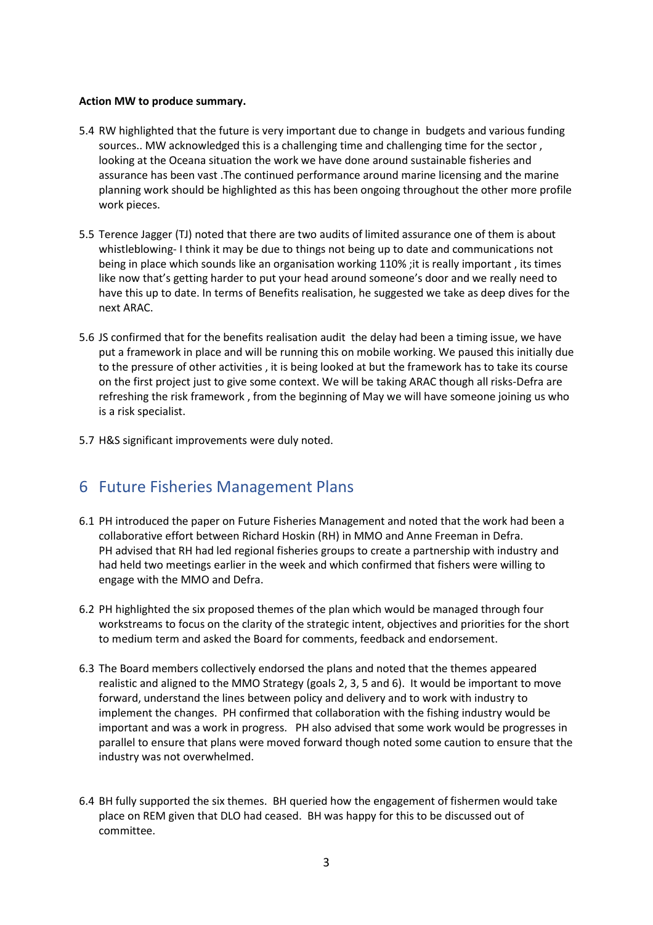### **Action MW to produce summary.**

- 5.4 RW highlighted that the future is very important due to change in budgets and various funding sources.. MW acknowledged this is a challenging time and challenging time for the sector , looking at the Oceana situation the work we have done around sustainable fisheries and assurance has been vast .The continued performance around marine licensing and the marine planning work should be highlighted as this has been ongoing throughout the other more profile work pieces.
- 5.5 Terence Jagger (TJ) noted that there are two audits of limited assurance one of them is about whistleblowing- I think it may be due to things not being up to date and communications not being in place which sounds like an organisation working 110% ;it is really important , its times like now that's getting harder to put your head around someone's door and we really need to have this up to date. In terms of Benefits realisation, he suggested we take as deep dives for the next ARAC.
- 5.6 JS confirmed that for the benefits realisation audit the delay had been a timing issue, we have put a framework in place and will be running this on mobile working. We paused this initially due to the pressure of other activities , it is being looked at but the framework has to take its course on the first project just to give some context. We will be taking ARAC though all risks-Defra are refreshing the risk framework , from the beginning of May we will have someone joining us who is a risk specialist.
- 5.7 H&S significant improvements were duly noted.

# 6 Future Fisheries Management Plans

- 6.1 PH introduced the paper on Future Fisheries Management and noted that the work had been a collaborative effort between Richard Hoskin (RH) in MMO and Anne Freeman in Defra. PH advised that RH had led regional fisheries groups to create a partnership with industry and had held two meetings earlier in the week and which confirmed that fishers were willing to engage with the MMO and Defra.
- 6.2 PH highlighted the six proposed themes of the plan which would be managed through four workstreams to focus on the clarity of the strategic intent, objectives and priorities for the short to medium term and asked the Board for comments, feedback and endorsement.
- 6.3 The Board members collectively endorsed the plans and noted that the themes appeared realistic and aligned to the MMO Strategy (goals 2, 3, 5 and 6). It would be important to move forward, understand the lines between policy and delivery and to work with industry to implement the changes. PH confirmed that collaboration with the fishing industry would be important and was a work in progress. PH also advised that some work would be progresses in parallel to ensure that plans were moved forward though noted some caution to ensure that the industry was not overwhelmed.
- 6.4 BH fully supported the six themes. BH queried how the engagement of fishermen would take place on REM given that DLO had ceased. BH was happy for this to be discussed out of committee.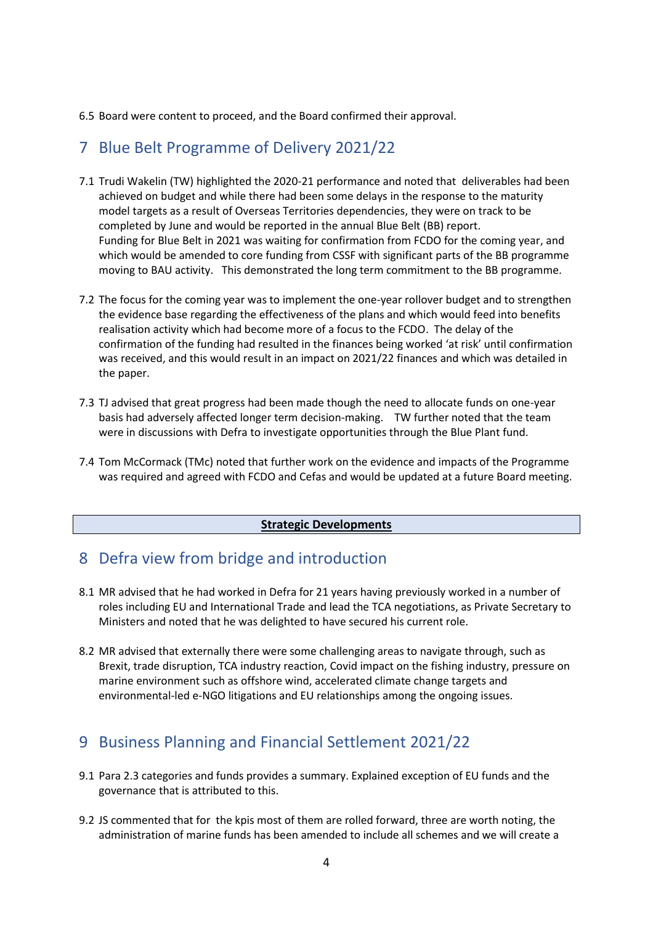6.5 Board were content to proceed, and the Board confirmed their approval.

# 7 Blue Belt Programme of Delivery 2021/22

- 7.1 Trudi Wakelin (TW) highlighted the 2020-21 performance and noted that deliverables had been achieved on budget and while there had been some delays in the response to the maturity model targets as a result of Overseas Territories dependencies, they were on track to be completed by June and would be reported in the annual Blue Belt (BB) report. Funding for Blue Belt in 2021 was waiting for confirmation from FCDO for the coming year, and which would be amended to core funding from CSSF with significant parts of the BB programme moving to BAU activity. This demonstrated the long term commitment to the BB programme.
- 7.2 The focus for the coming year was to implement the one-year rollover budget and to strengthen the evidence base regarding the effectiveness of the plans and which would feed into benefits realisation activity which had become more of a focus to the FCDO. The delay of the confirmation of the funding had resulted in the finances being worked 'at risk' until confirmation was received, and this would result in an impact on 2021/22 finances and which was detailed in the paper.
- 7.3 TJ advised that great progress had been made though the need to allocate funds on one-year basis had adversely affected longer term decision-making. TW further noted that the team were in discussions with Defra to investigate opportunities through the Blue Plant fund.
- 7.4 Tom McCormack (TMc) noted that further work on the evidence and impacts of the Programme was required and agreed with FCDO and Cefas and would be updated at a future Board meeting.

### **Strategic Developments**

# 8 Defra view from bridge and introduction

- 8.1 MR advised that he had worked in Defra for 21 years having previously worked in a number of roles including EU and International Trade and lead the TCA negotiations, as Private Secretary to Ministers and noted that he was delighted to have secured his current role.
- 8.2 MR advised that externally there were some challenging areas to navigate through, such as Brexit, trade disruption, TCA industry reaction, Covid impact on the fishing industry, pressure on marine environment such as offshore wind, accelerated climate change targets and environmental-led e-NGO litigations and EU relationships among the ongoing issues.

# 9 Business Planning and Financial Settlement 2021/22

- 9.1 Para 2.3 categories and funds provides a summary. Explained exception of EU funds and the governance that is attributed to this.
- 9.2 JS commented that for the kpis most of them are rolled forward, three are worth noting, the administration of marine funds has been amended to include all schemes and we will create a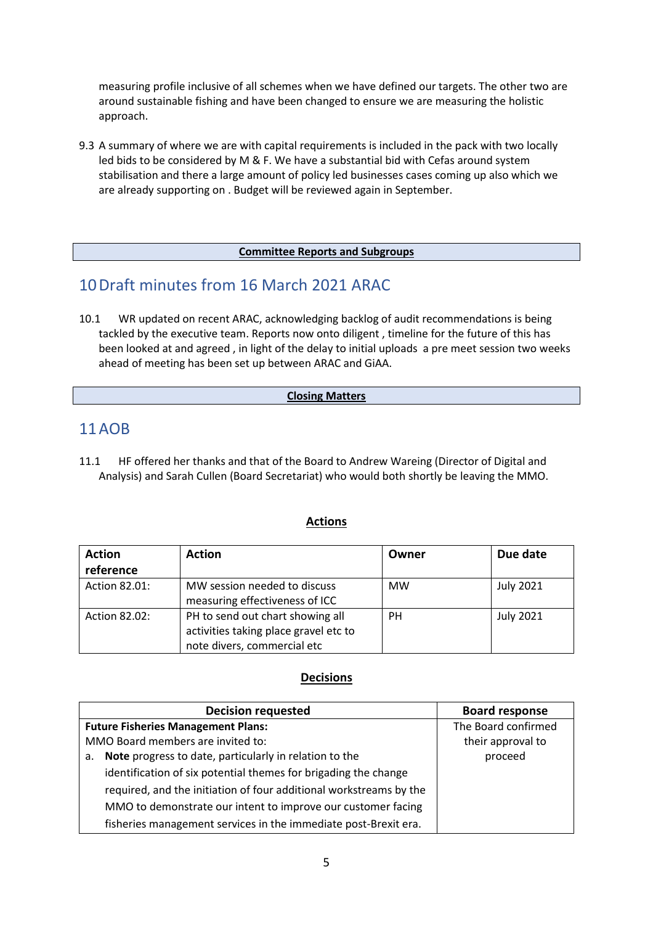measuring profile inclusive of all schemes when we have defined our targets. The other two are around sustainable fishing and have been changed to ensure we are measuring the holistic approach.

9.3 A summary of where we are with capital requirements is included in the pack with two locally led bids to be considered by M & F. We have a substantial bid with Cefas around system stabilisation and there a large amount of policy led businesses cases coming up also which we are already supporting on . Budget will be reviewed again in September.

### **Committee Reports and Subgroups**

# 10Draft minutes from 16 March 2021 ARAC

10.1 WR updated on recent ARAC, acknowledging backlog of audit recommendations is being tackled by the executive team. Reports now onto diligent , timeline for the future of this has been looked at and agreed , in light of the delay to initial uploads a pre meet session two weeks ahead of meeting has been set up between ARAC and GiAA.

### **Closing Matters**

# 11AOB

11.1 HF offered her thanks and that of the Board to Andrew Wareing (Director of Digital and Analysis) and Sarah Cullen (Board Secretariat) who would both shortly be leaving the MMO.

### **Actions**

| <b>Action</b> | <b>Action</b>                                                                                            | Owner     | Due date         |
|---------------|----------------------------------------------------------------------------------------------------------|-----------|------------------|
| reference     |                                                                                                          |           |                  |
| Action 82.01: | MW session needed to discuss<br>measuring effectiveness of ICC                                           | <b>MW</b> | <b>July 2021</b> |
| Action 82.02: | PH to send out chart showing all<br>activities taking place gravel etc to<br>note divers, commercial etc | PН        | <b>July 2021</b> |

### **Decisions**

| <b>Decision requested</b>                                          | <b>Board response</b> |
|--------------------------------------------------------------------|-----------------------|
| <b>Future Fisheries Management Plans:</b>                          | The Board confirmed   |
| MMO Board members are invited to:                                  | their approval to     |
| Note progress to date, particularly in relation to the<br>а.       | proceed               |
| identification of six potential themes for brigading the change    |                       |
| required, and the initiation of four additional workstreams by the |                       |
| MMO to demonstrate our intent to improve our customer facing       |                       |
| fisheries management services in the immediate post-Brexit era.    |                       |